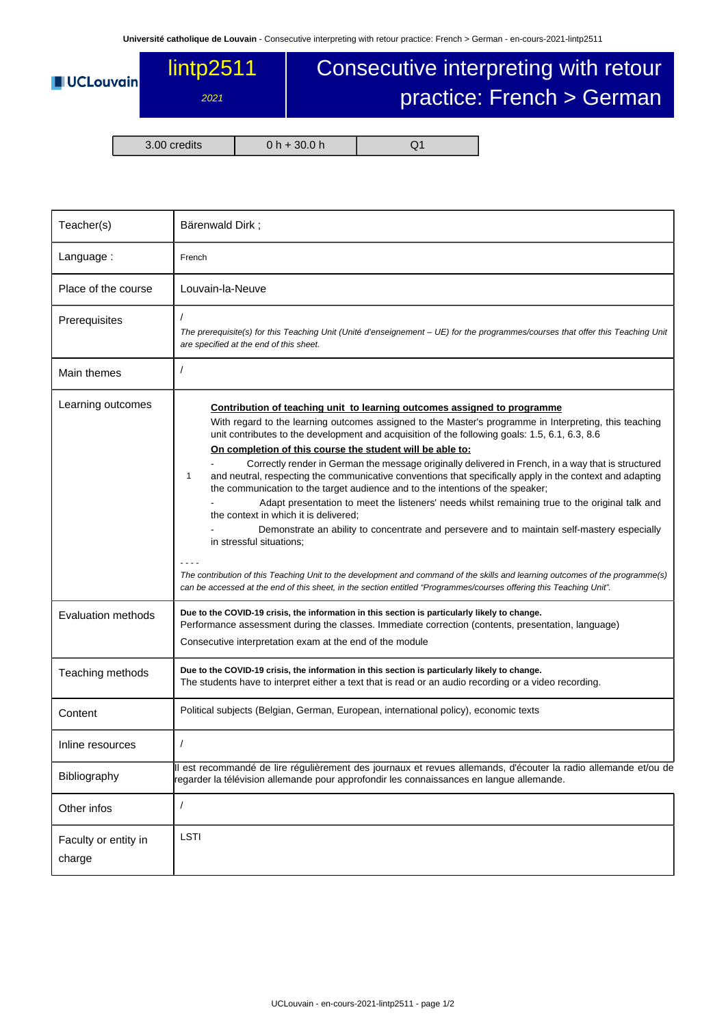## **UCLouvain**

## lintp<sub>2511</sub> 2021

## Consecutive interpreting with retour practice: French > German

3.00 credits 0 h + 30.0 h Q1

| Teacher(s)                     | Bärenwald Dirk;                                                                                                                                                                                                                                                                                                                                                                                                                                                                                                                                                                                                                                                                                                                                                                                                                                                                                                                                                                                                                                                                                                                                                                           |  |  |  |  |
|--------------------------------|-------------------------------------------------------------------------------------------------------------------------------------------------------------------------------------------------------------------------------------------------------------------------------------------------------------------------------------------------------------------------------------------------------------------------------------------------------------------------------------------------------------------------------------------------------------------------------------------------------------------------------------------------------------------------------------------------------------------------------------------------------------------------------------------------------------------------------------------------------------------------------------------------------------------------------------------------------------------------------------------------------------------------------------------------------------------------------------------------------------------------------------------------------------------------------------------|--|--|--|--|
| Language:                      | French                                                                                                                                                                                                                                                                                                                                                                                                                                                                                                                                                                                                                                                                                                                                                                                                                                                                                                                                                                                                                                                                                                                                                                                    |  |  |  |  |
| Place of the course            | Louvain-la-Neuve                                                                                                                                                                                                                                                                                                                                                                                                                                                                                                                                                                                                                                                                                                                                                                                                                                                                                                                                                                                                                                                                                                                                                                          |  |  |  |  |
| Prerequisites                  | The prerequisite(s) for this Teaching Unit (Unité d'enseignement – UE) for the programmes/courses that offer this Teaching Unit<br>are specified at the end of this sheet.                                                                                                                                                                                                                                                                                                                                                                                                                                                                                                                                                                                                                                                                                                                                                                                                                                                                                                                                                                                                                |  |  |  |  |
| Main themes                    | $\prime$                                                                                                                                                                                                                                                                                                                                                                                                                                                                                                                                                                                                                                                                                                                                                                                                                                                                                                                                                                                                                                                                                                                                                                                  |  |  |  |  |
| Learning outcomes              | Contribution of teaching unit to learning outcomes assigned to programme<br>With regard to the learning outcomes assigned to the Master's programme in Interpreting, this teaching<br>unit contributes to the development and acquisition of the following goals: 1.5, 6.1, 6.3, 8.6<br>On completion of this course the student will be able to:<br>Correctly render in German the message originally delivered in French, in a way that is structured<br>and neutral, respecting the communicative conventions that specifically apply in the context and adapting<br>1<br>the communication to the target audience and to the intentions of the speaker;<br>Adapt presentation to meet the listeners' needs whilst remaining true to the original talk and<br>the context in which it is delivered;<br>Demonstrate an ability to concentrate and persevere and to maintain self-mastery especially<br>in stressful situations:<br>The contribution of this Teaching Unit to the development and command of the skills and learning outcomes of the programme(s)<br>can be accessed at the end of this sheet, in the section entitled "Programmes/courses offering this Teaching Unit". |  |  |  |  |
| Evaluation methods             | Due to the COVID-19 crisis, the information in this section is particularly likely to change.<br>Performance assessment during the classes. Immediate correction (contents, presentation, language)<br>Consecutive interpretation exam at the end of the module                                                                                                                                                                                                                                                                                                                                                                                                                                                                                                                                                                                                                                                                                                                                                                                                                                                                                                                           |  |  |  |  |
| Teaching methods               | Due to the COVID-19 crisis, the information in this section is particularly likely to change.<br>The students have to interpret either a text that is read or an audio recording or a video recording.                                                                                                                                                                                                                                                                                                                                                                                                                                                                                                                                                                                                                                                                                                                                                                                                                                                                                                                                                                                    |  |  |  |  |
| Content                        | Political subjects (Belgian, German, European, international policy), economic texts                                                                                                                                                                                                                                                                                                                                                                                                                                                                                                                                                                                                                                                                                                                                                                                                                                                                                                                                                                                                                                                                                                      |  |  |  |  |
| Inline resources               |                                                                                                                                                                                                                                                                                                                                                                                                                                                                                                                                                                                                                                                                                                                                                                                                                                                                                                                                                                                                                                                                                                                                                                                           |  |  |  |  |
| Bibliography                   | Il est recommandé de lire régulièrement des journaux et revues allemands, d'écouter la radio allemande et/ou de<br>regarder la télévision allemande pour approfondir les connaissances en langue allemande.                                                                                                                                                                                                                                                                                                                                                                                                                                                                                                                                                                                                                                                                                                                                                                                                                                                                                                                                                                               |  |  |  |  |
| Other infos                    | $\sqrt{2}$                                                                                                                                                                                                                                                                                                                                                                                                                                                                                                                                                                                                                                                                                                                                                                                                                                                                                                                                                                                                                                                                                                                                                                                |  |  |  |  |
| Faculty or entity in<br>charge | LSTI                                                                                                                                                                                                                                                                                                                                                                                                                                                                                                                                                                                                                                                                                                                                                                                                                                                                                                                                                                                                                                                                                                                                                                                      |  |  |  |  |